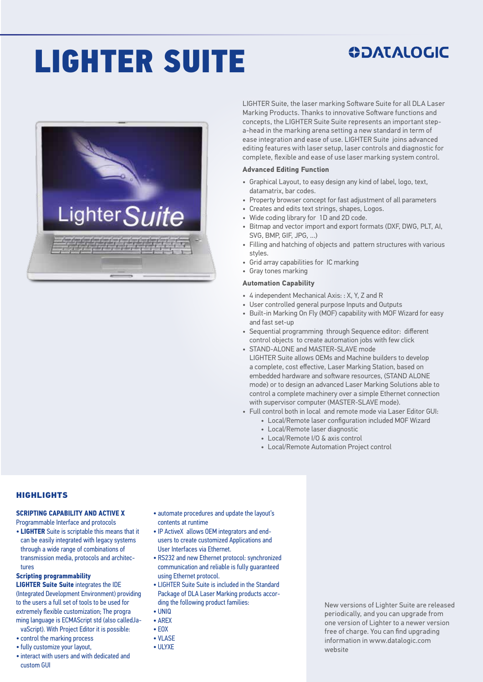# LIGHTER SUITE

### **ODATALOGIC**



LIGHTER Suite, the laser marking Software Suite for all DLA Laser Marking Products. Thanks to innovative Software functions and concepts, the LIGHTER Suite Suite represents an important stepa-head in the marking arena setting a new standard in term of ease integration and ease of use. LIGHTER Suite joins advanced editing features with laser setup, laser controls and diagnostic for complete, flexible and ease of use laser marking system control.

#### **Advanced Editing Function**

- Graphical Layout, to easy design any kind of label, logo, text, datamatrix, bar codes.
- Property browser concept for fast adjustment of all parameters
- Creates and edits text strings, shapes, Logos.
- Wide coding library for 1D and 2D code.
- Bitmap and vector import and export formats (DXF, DWG, PLT, AI, SVG, BMP, GIF, JPG, ...)
- Filling and hatching of objects and pattern structures with various styles.
- Grid array capabilities for IC marking
- Gray tones marking

#### **Automation Capability**

- 4 independent Mechanical Axis: : X, Y, Z and R
- User controlled general purpose Inputs and Outputs
- Built-in Marking On Fly (MOF) capability with MOF Wizard for easy and fast set-up
- Sequential programming through Sequence editor: different control objects to create automation jobs with few click
- STAND-ALONE and MASTER-SLAVE mode LIGHTER Suite allows OEMs and Machine builders to develop a complete, cost effective, Laser Marking Station, based on embedded hardware and software resources, (STAND ALONE mode) or to design an advanced Laser Marking Solutions able to control a complete machinery over a simple Ethernet connection
	- with supervisor computer (MASTER-SLAVE mode).
- Full control both in local and remote mode via Laser Editor GUI: • Local/Remote laser configuration included MOF Wizard
	- Local/Remote laser diagnostic
	- Local/Remote I/O & axis control
	- Local/Remote Automation Project control

#### **HIGHLIGHTS**

#### **SCRIPTING CAPABILITY AND ACTIVE X**

Programmable Interface and protocols • **LIGHTER** Suite is scriptable this means that it can be easily integrated with legacy systems through a wide range of combinations of transmission media, protocols and architectures

#### **Scripting programmability**

**LIGHTER Suite Suite** integrates the IDE (Integrated Development Environment) providing to the users a full set of tools to be used for extremely flexible customization; The progra ming language is ECMAScript std (also calledJavaScript). With Project Editor it is possible:

- control the marking process
- fully customize your layout,
- interact with users and with dedicated and custom GUI
- automate procedures and update the layout's contents at runtime
- IP ActiveX allows OEM integrators and endusers to create customized Applications and User Interfaces via Ethernet.
- RS232 and new Ethernet protocol: synchronized communication and reliable is fully guaranteed using Ethernet protocol.
- LIGHTER Suite Suite is included in the Standard Package of DLA Laser Marking products according the following product families:
- UNIQ
- AREX • EOX
- VLASE
- ULYXE
- 

New versions of Lighter Suite are released periodically, and you can upgrade from one version of Lighter to a newer version free of charge. You can find upgrading information in www.datalogic.com website